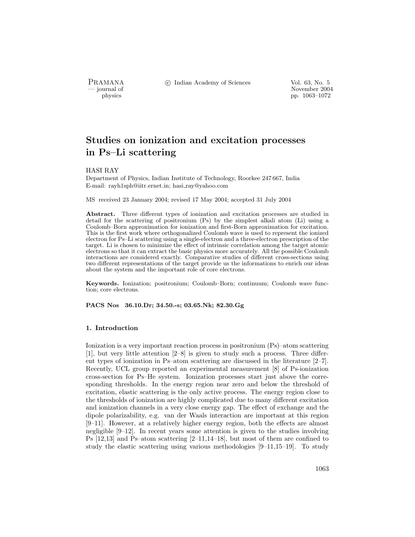PRAMANA °c Indian Academy of Sciences Vol. 63, No. 5

purnal of November 2004<br>
pp. 1063–1072<br>
pp. 1063–1072 pp. 1063–1072

# Studies on ionization and excitation processes in Ps–Li scattering

HASI RAY

Department of Physics, Indian Institute of Technology, Roorkee 247 667, India E-mail: rayh1sph@iitr.ernet.in; hasi ray@yahoo.com

MS received 23 January 2004; revised 17 May 2004; accepted 31 July 2004

Abstract. Three different types of ionization and excitation processes are studied in detail for the scattering of positronium (Ps) by the simplest alkali atom (Li) using a Coulomb–Born approximation for ionization and first-Born approximation for excitation. This is the first work where orthogonalized Coulomb wave is used to represent the ionized electron for Ps–Li scattering using a single-electron and a three-electron prescription of the target. Li is chosen to minimize the effect of intrinsic correlation among the target atomic electrons so that it can extract the basic physics more accurately. All the possible Coulomb interactions are considered exactly. Comparative studies of different cross-sections using two different representations of the target provide us the informations to enrich our ideas about the system and the important role of core electrons.

Keywords. Ionization; positronium; Coulomb–Born; continuum; Coulomb wave function; core electrons.

PACS Nos 36.10.Dr; 34.50.-s; 03.65.Nk; 82.30.Gg

#### 1. Introduction

Ionization is a very important reaction process in positronium (Ps)–atom scattering [1], but very little attention [2–8] is given to study such a process. Three different types of ionization in Ps–atom scattering are discussed in the literature [2–7]. Recently, UCL group reported an experimental measurement [8] of Ps-ionization cross-section for Ps–He system. Ionization processes start just above the corresponding thresholds. In the energy region near zero and below the threshold of excitation, elastic scattering is the only active process. The energy region close to the thresholds of ionization are highly complicated due to many different excitation and ionization channels in a very close energy gap. The effect of exchange and the dipole polarizability, e.g. van der Waals interaction are important at this region [9–11]. However, at a relatively higher energy region, both the effects are almost negligible [9–12]. In recent years some attention is given to the studies involving Ps [12,13] and Ps–atom scattering [2–11,14–18], but most of them are confined to study the elastic scattering using various methodologies  $[9-11,15-19]$ . To study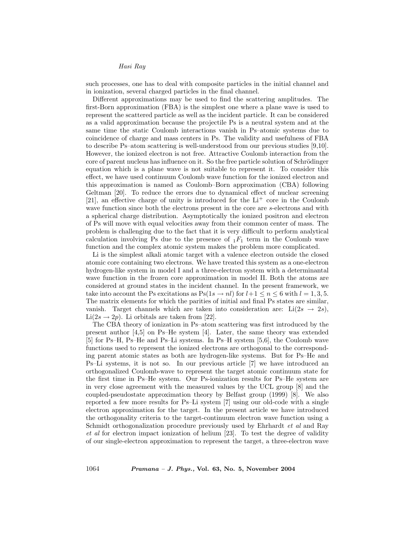such processes, one has to deal with composite particles in the initial channel and in ionization, several charged particles in the final channel.

Different approximations may be used to find the scattering amplitudes. The first-Born approximation (FBA) is the simplest one where a plane wave is used to represent the scattered particle as well as the incident particle. It can be considered as a valid approximation because the projectile Ps is a neutral system and at the same time the static Coulomb interactions vanish in Ps–atomic systems due to coincidence of charge and mass centers in Ps. The validity and usefulness of FBA to describe Ps–atom scattering is well-understood from our previous studies [9,10]. However, the ionized electron is not free. Attractive Coulomb interaction from the core of parent nucleus has influence on it. So the free particle solution of Schrödinger equation which is a plane wave is not suitable to represent it. To consider this effect, we have used continuum Coulomb wave function for the ionized electron and this approximation is named as Coulomb–Born approximation (CBA) following Geltman [20]. To reduce the errors due to dynamical effect of nuclear screening [21], an effective charge of unity is introduced for the  $Li<sup>+</sup>$  core in the Coulomb wave function since both the electrons present in the core are s-electrons and with a spherical charge distribution. Asymptotically the ionized positron and electron of Ps will move with equal velocities away from their common center of mass. The problem is challenging due to the fact that it is very difficult to perform analytical calculation involving Ps due to the presence of  $_1F_1$  term in the Coulomb wave function and the complex atomic system makes the problem more complicated.

Li is the simplest alkali atomic target with a valence electron outside the closed atomic core containing two electrons. We have treated this system as a one-electron hydrogen-like system in model I and a three-electron system with a determinantal wave function in the frozen core approximation in model II. Both the atoms are considered at ground states in the incident channel. In the present framework, we take into account the Ps excitations as  $Ps(1s \rightarrow nl)$  for  $l+1 \le n \le 6$  with  $l = 1, 3, 5$ . The matrix elements for which the parities of initial and final Ps states are similar, vanish. Target channels which are taken into consideration are:  $Li(2s \rightarrow 2s)$ ,  $Li(2s \rightarrow 2p)$ . Li orbitals are taken from [22].

The CBA theory of ionization in Ps–atom scattering was first introduced by the present author [4,5] on Ps–He system [4]. Later, the same theory was extended [5] for Ps–H, Ps–He and Ps–Li systems. In Ps–H system [5,6], the Coulomb wave functions used to represent the ionized electrons are orthogonal to the corresponding parent atomic states as both are hydrogen-like systems. But for Ps–He and Ps–Li systems, it is not so. In our previous article [7] we have introduced an orthogonalized Coulomb-wave to represent the target atomic continuum state for the first time in Ps–He system. Our Ps-ionization results for Ps–He system are in very close agreement with the measured values by the UCL group [8] and the coupled-pseudostate approximation theory by Belfast group (1999) [8]. We also reported a few more results for Ps–Li system [7] using our old-code with a single electron approximation for the target. In the present article we have introduced the orthogonality criteria to the target-continuum electron wave function using a Schmidt orthogonalization procedure previously used by Ehrhardt et al and Ray et al for electron impact ionization of helium [23]. To test the degree of validity of our single-electron approximation to represent the target, a three-electron wave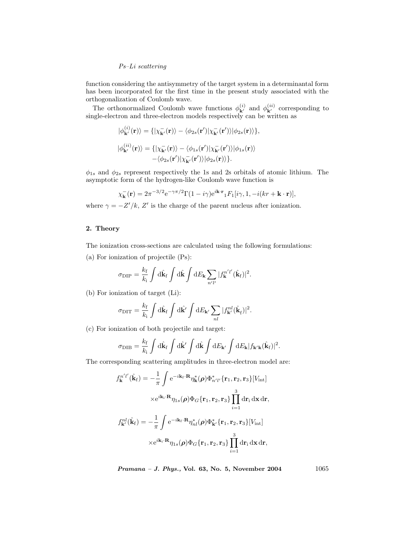# Ps–Li scattering

function considering the antisymmetry of the target system in a determinantal form has been incorporated for the first time in the present study associated with the orthogonalization of Coulomb wave.

The orthonormalized Coulomb wave functions  $\phi_{\mathbf{k}'}^{(i)}$  and  $\phi_{\mathbf{k}'}^{(ii)}$  corresponding to single-electron and three-electron models respectively can be written as

$$
|\phi_{\mathbf{k}'}^{(i)}(\mathbf{r})\rangle = \{|\chi_{\mathbf{k}'}(\mathbf{r})\rangle - \langle\phi_{2s}(\mathbf{r}')|\chi_{\mathbf{k}'}(\mathbf{r}')\rangle|\phi_{2s}(\mathbf{r})\rangle\},
$$
  

$$
|\phi_{\mathbf{k}'}^{(ii)}(\mathbf{r})\rangle = \{|\chi_{\mathbf{k}'}(\mathbf{r})\rangle - \langle\phi_{1s}(\mathbf{r}')|\chi_{\mathbf{k}'}(\mathbf{r}')\rangle|\phi_{1s}(\mathbf{r})\rangle - \langle\phi_{2s}(\mathbf{r}')|\chi_{\mathbf{k}'}(\mathbf{r}')\rangle|\phi_{2s}(\mathbf{r})\rangle\}.
$$

 $\phi_{1s}$  and  $\phi_{2s}$  represent respectively the 1s and 2s orbitals of atomic lithium. The asymptotic form of the hydrogen-like Coulomb wave function is

$$
\chi_{\mathbf{k}}^{-}(\mathbf{r}) = 2\pi^{-3/2} e^{-\gamma \pi/2} \Gamma(1 - i\gamma) e^{i\mathbf{k} \cdot \mathbf{r}} {}_{1}F_{1}[i\gamma, 1, -i(kr + \mathbf{k} \cdot \mathbf{r})],
$$

where  $\gamma = -Z'/k$ , Z' is the charge of the parent nucleus after ionization.

# 2. Theory

The ionization cross-sections are calculated using the following formulations: (a) For ionization of projectile (Ps):

$$
\sigma_{\rm DIP} = \frac{k_{\rm f}}{k_{\rm i}} \int d\hat{\mathbf{k}}_{\rm f} \int d\hat{\mathbf{k}} \int dE_{\mathbf{k}} \sum_{n'l'} |f_{\mathbf{k}}^{n'l'}(\hat{\mathbf{k}}_{\rm f})|^2.
$$

(b) For ionization of target (Li):

$$
\sigma_{\rm DIT} = \frac{k_{\rm f}}{k_{\rm i}} \int d\hat{\mathbf{k}}_{\rm f} \int d\hat{\mathbf{k}}' \int dE_{\mathbf{k}'} \sum_{nl} |f_{\mathbf{k}'}^{nl}(\hat{\mathbf{k}}_{\rm f})|^2.
$$

(c) For ionization of both projectile and target:

$$
\sigma_{\text{DIB}} = \frac{k_{\text{f}}}{k_{\text{i}}} \int d\hat{\mathbf{k}}_{\text{f}} \int d\hat{\mathbf{k}}' \int d\hat{\mathbf{k}} \int dE_{\mathbf{k}'} \int dE_{\mathbf{k}} |f_{\mathbf{k}'\mathbf{k}}(\hat{\mathbf{k}}_{\text{f}})|^2.
$$

The corresponding scattering amplitudes in three-electron model are:

$$
f_{\mathbf{k}}^{n'l'}(\hat{\mathbf{k}}_{\mathrm{f}}) = -\frac{1}{\pi} \int e^{-i\mathbf{k}_{\mathrm{f}} \cdot \mathbf{R}} \eta_{\mathbf{k}}^{*}(\rho) \Phi_{n'l'}^{*} \{\mathbf{r}_{1}, \mathbf{r}_{2}, \mathbf{r}_{3}\} [V_{\mathrm{int}}]
$$

$$
\times e^{i\mathbf{k}_{\mathrm{i}} \cdot \mathbf{R}} \eta_{1s}(\rho) \Phi_{G} \{\mathbf{r}_{1}, \mathbf{r}_{2}, \mathbf{r}_{3}\} \prod_{i=1}^{3} \mathrm{d}\mathbf{r}_{i} \, \mathrm{d}\mathbf{x} \, \mathrm{d}\mathbf{r},
$$

$$
f_{\mathbf{k}'}^{nl}(\hat{\mathbf{k}}_{\mathrm{f}}) = -\frac{1}{\pi} \int e^{-i\mathbf{k}_{\mathrm{f}} \cdot \mathbf{R}} \eta_{nl}^{*}(\rho) \Phi_{\mathbf{k}'}^{*} \{\mathbf{r}_{1}, \mathbf{r}_{2}, \mathbf{r}_{3}\} [V_{\mathrm{int}}]
$$

$$
\times e^{i\mathbf{k}_{\mathrm{i}} \cdot \mathbf{R}} \eta_{1s}(\rho) \Phi_{G} \{\mathbf{r}_{1}, \mathbf{r}_{2}, \mathbf{r}_{3}\} \prod_{i=1}^{3} \mathrm{d}\mathbf{r}_{i} \, \mathrm{d}\mathbf{x} \, \mathrm{d}\mathbf{r},
$$

Pramana – J. Phys., Vol. 63, No. 5, November 2004 1065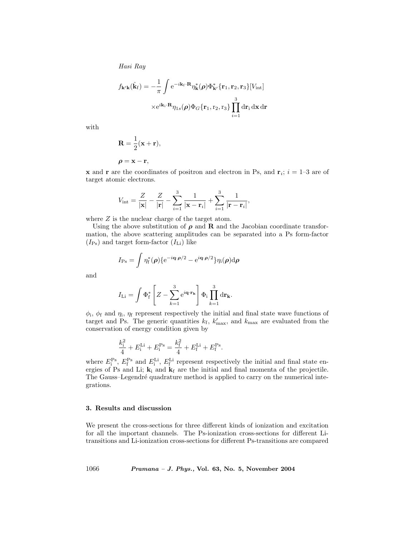$$
f_{\mathbf{k}'\mathbf{k}}(\hat{\mathbf{k}}_f) = -\frac{1}{\pi} \int e^{-i\mathbf{k}_f \cdot \mathbf{R}} \eta_{\mathbf{k}}^* (\rho) \Phi_{\mathbf{k}'}^* \{\mathbf{r}_1, \mathbf{r}_2, \mathbf{r}_3\} [V_{\text{int}}]
$$

$$
\times e^{i\mathbf{k}_i \cdot \mathbf{R}} \eta_{1s}(\rho) \Phi_G \{\mathbf{r}_1, \mathbf{r}_2, \mathbf{r}_3\} \prod_{i=1}^3 \mathrm{d}\mathbf{r}_i \, \mathrm{d}\mathbf{x} \, \mathrm{d}\mathbf{r}
$$

with

$$
\mathbf{R} = \frac{1}{2}(\mathbf{x} + \mathbf{r}),
$$

$$
\rho = \mathbf{x} - \mathbf{r},
$$

**x** and **r** are the coordinates of positron and electron in Ps, and  $\mathbf{r}_i$ ;  $i = 1-3$  are of target atomic electrons.

$$
V_{\text{int}} = \frac{Z}{|\mathbf{x}|} - \frac{Z}{|\mathbf{r}|} - \sum_{i=1}^{3} \frac{1}{|\mathbf{x} - \mathbf{r}_i|} + \sum_{i=1}^{3} \frac{1}{|\mathbf{r} - \mathbf{r}_i|},
$$

where  $Z$  is the nuclear charge of the target atom.

Using the above substitution of  $\rho$  and  $R$  and the Jacobian coordinate transformation, the above scattering amplitudes can be separated into a Ps form-factor  $(I_{\text{Ps}})$  and target form-factor  $(I_{\text{Li}})$  like

$$
I_{\mathrm{Ps}} = \int \eta_{\mathrm{f}}^* (\boldsymbol{\rho}) \{ e^{-i \mathbf{q} \cdot \boldsymbol{\rho}/2} - e^{i \mathbf{q} \cdot \boldsymbol{\rho}/2} \} \eta_{\mathrm{i}}(\boldsymbol{\rho}) \mathrm{d} \boldsymbol{\rho}
$$

and

$$
I_{\text{Li}} = \int \Phi_{\text{f}}^* \left[ Z - \sum_{k=1}^3 e^{i\mathbf{q} \cdot \mathbf{r_k}} \right] \Phi_{\text{i}} \prod_{k=1}^3 d\mathbf{r_k}.
$$

 $\phi_i$ ,  $\phi_f$  and  $\eta_i$ ,  $\eta_f$  represent respectively the initial and final state wave functions of target and Ps. The generic quantities  $k_f$ ,  $k'_{\text{max}}$ , and  $k_{\text{max}}$  are evaluated from the conservation of energy condition given by

$$
\frac{k_{\rm i}^2}{4} + E_{\rm i}^{\rm Li} + E_{\rm i}^{\rm Ps} = \frac{k_{\rm f}^2}{4} + E_{\rm f}^{\rm Li} + E_{\rm f}^{\rm Ps}.
$$

where  $E_i^{\text{Ps}}, E_f^{\text{Ps}}$  and  $E_i^{\text{Li}}, E_f^{\text{Li}}$  represent respectively the initial and final state energies of Ps and Li;  $\mathbf{k}_i$  and  $\mathbf{k}_f$  are the initial and final momenta of the projectile. The Gauss–Legendré quadrature method is applied to carry on the numerical integrations.

# 3. Results and discussion

We present the cross-sections for three different kinds of ionization and excitation for all the important channels. The Ps-ionization cross-sections for different Litransitions and Li-ionization cross-sections for different Ps-transitions are compared

1066 Pramana – J. Phys., Vol. 63, No. 5, November 2004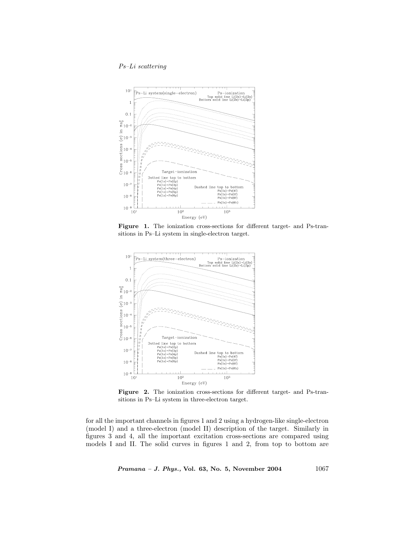Ps–Li scattering



Figure 1. The ionization cross-sections for different target- and Ps-transitions in Ps–Li system in single-electron target.



Figure 2. The ionization cross-sections for different target- and Ps-transitions in Ps–Li system in three-electron target.

for all the important channels in figures 1 and 2 using a hydrogen-like single-electron (model I) and a three-electron (model II) description of the target. Similarly in figures 3 and 4, all the important excitation cross-sections are compared using models I and II. The solid curves in figures 1 and 2, from top to bottom are

*Pramana – J. Phys.*, Vol. 63, No. 5, November 2004  $1067$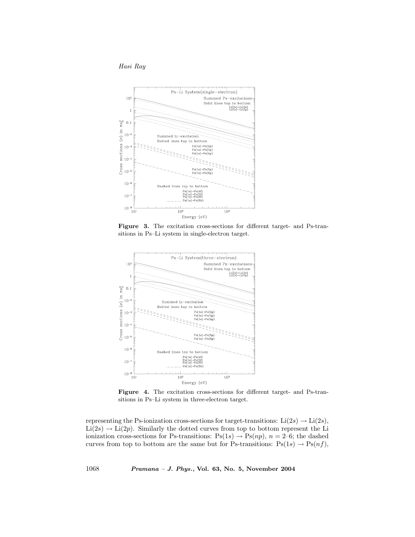

Figure 3. The excitation cross-sections for different target- and Ps-transitions in Ps–Li system in single-electron target.



Figure 4. The excitation cross-sections for different target- and Ps-transitions in Ps–Li system in three-electron target.

representing the Ps-ionization cross-sections for target-transitions:  $Li(2s) \rightarrow Li(2s)$ ,  $\text{Li}(2s) \rightarrow \text{Li}(2p)$ . Similarly the dotted curves from top to bottom represent the Li ionization cross-sections for Ps-transitions:  $Ps(1s) \rightarrow Ps(np)$ ,  $n = 2-6$ ; the dashed curves from top to bottom are the same but for Ps-transitions:  $Ps(1s) \rightarrow Ps(nf)$ ,

1068 Pramana – J. Phys., Vol. 63, No. 5, November 2004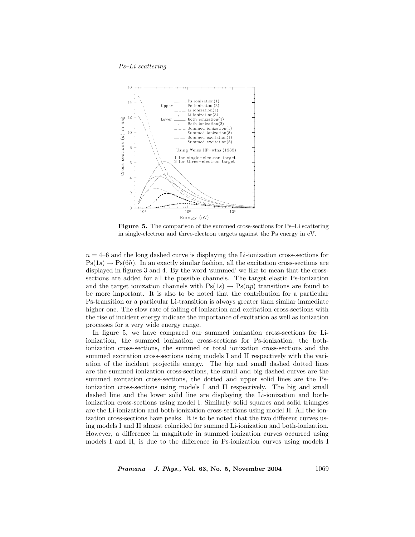Ps–Li scattering



Figure 5. The comparison of the summed cross-sections for Ps–Li scattering in single-electron and three-electron targets against the Ps energy in eV.

 $n = 4-6$  and the long dashed curve is displaying the Li-ionization cross-sections for  $Ps(1s) \rightarrow Ps(6h)$ . In an exactly similar fashion, all the excitation cross-sections are displayed in figures 3 and 4. By the word 'summed' we like to mean that the crosssections are added for all the possible channels. The target elastic Ps-ionization and the target ionization channels with  $Ps(1s) \rightarrow Ps(np)$  transitions are found to be more important. It is also to be noted that the contribution for a particular Ps-transition or a particular Li-transition is always greater than similar immediate higher one. The slow rate of falling of ionization and excitation cross-sections with the rise of incident energy indicate the importance of excitation as well as ionization processes for a very wide energy range.

In figure 5, we have compared our summed ionization cross-sections for Liionization, the summed ionization cross-sections for Ps-ionization, the bothionization cross-sections, the summed or total ionization cross-sections and the summed excitation cross-sections using models I and II respectively with the variation of the incident projectile energy. The big and small dashed dotted lines are the summed ionization cross-sections, the small and big dashed curves are the summed excitation cross-sections, the dotted and upper solid lines are the Psionization cross-sections using models I and II respectively. The big and small dashed line and the lower solid line are displaying the Li-ionization and bothionization cross-sections using model I. Similarly solid squares and solid triangles are the Li-ionization and both-ionization cross-sections using model II. All the ionization cross-sections have peaks. It is to be noted that the two different curves using models I and II almost coincided for summed Li-ionization and both-ionization. However, a difference in magnitude in summed ionization curves occurred using models I and II, is due to the difference in Ps-ionization curves using models I

*Pramana – J. Phys.*, Vol. 63, No. 5, November 2004  $1069$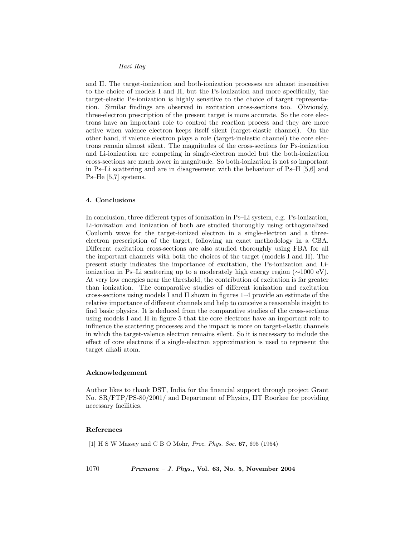and II. The target-ionization and both-ionization processes are almost insensitive to the choice of models I and II, but the Ps-ionization and more specifically, the target-elastic Ps-ionization is highly sensitive to the choice of target representation. Similar findings are observed in excitation cross-sections too. Obviously, three-electron prescription of the present target is more accurate. So the core electrons have an important role to control the reaction process and they are more active when valence electron keeps itself silent (target-elastic channel). On the other hand, if valence electron plays a role (target-inelastic channel) the core electrons remain almost silent. The magnitudes of the cross-sections for Ps-ionization and Li-ionization are competing in single-electron model but the both-ionization cross-sections are much lower in magnitude. So both-ionization is not so important in Ps–Li scattering and are in disagreement with the behaviour of Ps–H [5,6] and Ps–He [5,7] systems.

#### 4. Conclusions

In conclusion, three different types of ionization in Ps–Li system, e.g. Ps-ionization, Li-ionization and ionization of both are studied thoroughly using orthogonalized Coulomb wave for the target-ionized electron in a single-electron and a threeelectron prescription of the target, following an exact methodology in a CBA. Different excitation cross-sections are also studied thoroughly using FBA for all the important channels with both the choices of the target (models I and II). The present study indicates the importance of excitation, the Ps-ionization and Liionization in Ps–Li scattering up to a moderately high energy region (∼1000 eV). At very low energies near the threshold, the contribution of excitation is far greater than ionization. The comparative studies of different ionization and excitation cross-sections using models I and II shown in figures 1–4 provide an estimate of the relative importance of different channels and help to conceive a reasonable insight to find basic physics. It is deduced from the comparative studies of the cross-sections using models I and II in figure 5 that the core electrons have an important role to influence the scattering processes and the impact is more on target-elastic channels in which the target-valence electron remains silent. So it is necessary to include the effect of core electrons if a single-electron approximation is used to represent the target alkali atom.

# Acknowledgement

Author likes to thank DST, India for the financial support through project Grant No. SR/FTP/PS-80/2001/ and Department of Physics, IIT Roorkee for providing necessary facilities.

#### References

[1] H S W Massey and C B O Mohr, Proc. Phys. Soc. 67, 695 (1954)

1070 Pramana – J. Phys., Vol. 63, No. 5, November 2004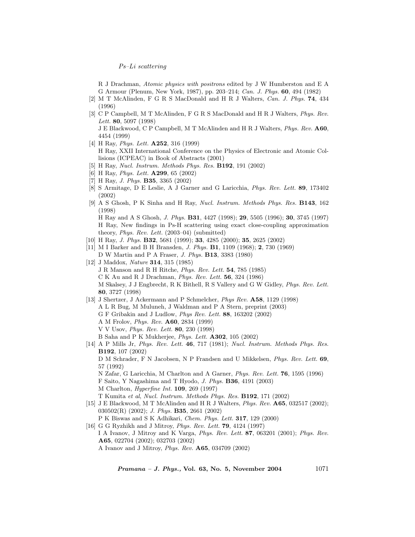#### Ps–Li scattering

R J Drachman, Atomic physics with positrons edited by J W Humberston and E A G Armour (Plenum, New York, 1987), pp. 203–214; Can. J. Phys. 60, 494 (1982)

- [2] M T McAlinden, F G R S MacDonald and H R J Walters, Can. J. Phys. 74, 434 (1996)
- [3] C P Campbell, M T McAlinden, F G R S MacDonald and H R J Walters, Phys. Rev. Lett. **80**, 5097 (1998)

J E Blackwood, C P Campbell, M T McAlinden and H R J Walters, Phys. Rev. A60, 4454 (1999)

- [4] H Ray, *Phys. Lett.* **A252**, 316 (1999) H Ray, XXII International Conference on the Physics of Electronic and Atomic Collisions (ICPEAC) in Book of Abstracts (2001)
- [5] H Ray, Nucl. Instrum. Methods Phys. Res. B192, 191 (2002)
- [6] H Ray, *Phys. Lett.* **A299**, 65 (2002)
- [7] H Ray, J. Phys. B35, 3365 (2002)
- [8] S Armitage, D E Leslie, A J Garner and G Laricchia, Phys. Rev. Lett. 89, 173402 (2002)
- [9] A S Ghosh, P K Sinha and H Ray, Nucl. Instrum. Methods Phys. Res. B143, 162 (1998)

H Ray and A S Ghosh, J. Phys. B31, 4427 (1998); 29, 5505 (1996); 30, 3745 (1997) H Ray, New findings in Ps-H scattering using exact close-coupling approximation theory, Phys. Rev. Lett. (2003–04) (submitted)

- [10] H Ray, J. Phys. B32, 5681 (1999); 33, 4285 (2000); 35, 2625 (2002)
- [11] M I Barker and B H Bransden, *J. Phys.* **B1**, 1109 (1968); **2**, 730 (1969) D W Martin and P A Fraser, J. Phys. B13, 3383 (1980)
- [12] J Maddox, Nature 314, 315 (1985) J R Manson and R H Ritche, Phys. Rev. Lett. 54, 785 (1985) C K Au and R J Drachman, Phys. Rev. Lett. 56, 324 (1986) M Skalsey, J J Engbrecht, R K Bithell, R S Vallery and G W Gidley, Phys. Rev. Lett. 80, 3727 (1998) [13] J Shertzer, J Ackermann and P Schmelcher, Phys Rev. A58, 1129 (1998)
- A L R Bug, M Muluneh, J Waldman and P A Stern, preprint (2003) G F Gribakin and J Ludlow, Phys Rev. Lett. 88, 163202 (2002) A M Frolov, Phys. Rev. A60, 2834 (1999)
	- V V Usov, Phys. Rev. Lett. 80, 230 (1998)
	- B Saha and P K Mukherjee, Phys. Lett. A302, 105 (2002)
- [14] A P Mills Jr, Phys. Rev. Lett. 46, 717 (1981); Nucl. Instrum. Methods Phys. Res. B192, 107 (2002) D M Schrader, F N Jacobsen, N P Frandsen and U Mikkelsen, Phys. Rev. Lett. 69,

57 (1992) N Zafar, G Laricchia, M Charlton and A Garner, Phys. Rev. Lett. 76, 1595 (1996) F Saito, Y Nagashima and T Hyodo, J. Phys. B36, 4191 (2003) M Charlton, Hyperfine Int. 109, 269 (1997)

- T Kumita et al, Nucl. Instrum. Methods Phys. Res. B192, 171 (2002)
- [15] J E Blackwood, M T McAlinden and H R J Walters, Phys. Rev. A65, 032517 (2002); 030502(R) (2002); *J. Phys.* **B35**, 2661 (2002) P K Biswas and S K Adhikari, *Chem. Phys. Lett.* **317**, 129 (2000)
- [16] G G Ryzhikh and J Mitroy, *Phys. Rev. Lett.* **79**, 4124 (1997) I A Ivanov, J Mitroy and K Varga, Phys. Rev. Lett. 87, 063201 (2001); Phys. Rev. A65, 022704 (2002); 032703 (2002) A Ivanov and J Mitroy, Phys. Rev. A65, 034709 (2002)